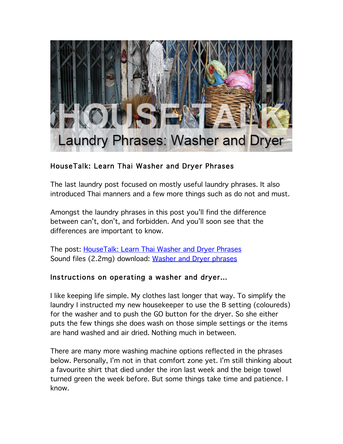

# HouseTalk: Learn Thai Washer and Dryer Phrases

The last laundry post focused on mostly useful laundry phrases. It also introduced Thai manners and a few more things such as do not and must.

Amongst the laundry phrases in this post you'll find the difference between can't, don't, and forbidden. And you'll soon see that the differences are important to know.

The post: HouseTalk: Learn Thai Washer and Dryer Phrases Sound files (2.2mg) download: Washer and Dryer phrases

#### Instructions on operating a washer and dryer…

I like keeping life simple. My clothes last longer that way. To simplify the laundry I instructed my new housekeeper to use the B setting (coloureds) for the washer and to push the GO button for the dryer. So she either puts the few things she does wash on those simple settings or the items are hand washed and air dried. Nothing much in between.

There are many more washing machine options reflected in the phrases below. Personally, I'm not in that comfort zone yet. I'm still thinking about a favourite shirt that died under the iron last week and the beige towel turned green the week before. But some things take time and patience. I know.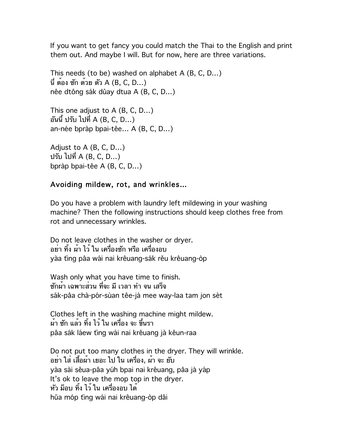If you want to get fancy you could match the Thai to the English and print them out. And maybe I will. But for now, here are three variations.

This needs (to be) washed on alphabet A (B, C, D…) นี่ ต้อง ซัก ด้วย ตัว A (B, C, D…) nêe dtông sák dûay dtua A (B, C, D...)

This one adjust to A (B, C, D…) อันนี้ปรับ ไปที่ A (B, C, D…) an-née bpràp bpai-têe... A (B, C, D...)

Adjust to A (B, C, D…) ปรับ ไปที่ A (B, C, D…) bpràp bpai-têe A (B, C, D...)

#### Avoiding mildew, rot, and wrinkles…

Do you have a problem with laundry left mildewing in your washing machine? Then the following instructions should keep clothes free from rot and unnecessary wrinkles.

Do not leave clothes in the washer or dryer. อย่า ทิ้ง ผ้า ไว้ใน เครื่องซัก หรือ เครื่องอบ yàa ting pâa wái nai krêuang-sák rěu krêuang-òp

Wash only what you have time to finish. ซักผ้า เฉพาะส่วน ที่จะ มีเวลา ทำ จน เสร็จ sák-pâa chà-pór-sùan têe-jà mee way-laa tam jon sèt

Clothes left in the washing machine might mildew. ผ้า ซัก แล้ว ทิ้ง ไว้ใน เครื่อง จะ ขึ้นรา pâa sák láew ting wái nai krêuang jà kêun-raa

Do not put too many clothes in the dryer. They will wrinkle. อย่า ใส่ เสื้อผ้า เยอะ ไป ใน เครื่อง, ผ้า จะ ยับ yàa sài sêua-pâa yúh bpai nai krêuang, pâa jà yáp It's ok to leave the mop top in the dryer. หัว ม็อบ ทิ้ง ไว้ใน เครื่องอบ ได้ hŭa móp ting wái nai krêuang-òp dâi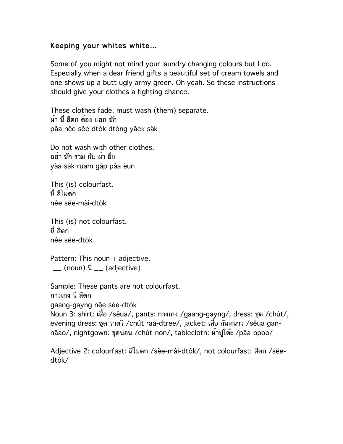## Keeping your whites white…

Some of you might not mind your laundry changing colours but I do. Especially when a dear friend gifts a beautiful set of cream towels and one shows up a butt ugly army green. Oh yeah. So these instructions should give your clothes a fighting chance.

These clothes fade, must wash (them) separate. ผ้า นี่ สีตก ต้อง แยก ซัก pâa nêe sĕe dtòk dtông yâek sák

Do not wash with other clothes. อย่า ซัก รวม กับ ผ้า อื่น yàa sák ruam gàp pâa èun

This (is) colourfast. นี่ สีไม่ตก nêe sĕe-mâi-dtòk

This (is) not colourfast. นี่ สีตก nêe sĕe-dtòk

Pattern: This noun + adjective.  $\Box$  (noun)  $\vec{u}$   $\Box$  (adjective)

Sample: These pants are not colourfast. กางเกง นี่ สีตก gaang-gayng nêe sĕe-dtòk Noun 3: shirt: เสื้อ /sêua/, pants: กางเกง /gaang-gayng/, dress: ชุด /chút/, evening dress: ชุด ราตรี/chút raa-dtree/, jacket: เสื้อ กันหนาว /sêua gannăao/, nightgown: ชุดนอน /chút-non/, tablecloth: ผ้าปูโต๊ะ /pâa-bpoo/

Adjective 2: colourfast: สีไม<sup>่</sup>ตก /sĕe-mâi-dtòk/, not colourfast: สีตก /sĕedtòk/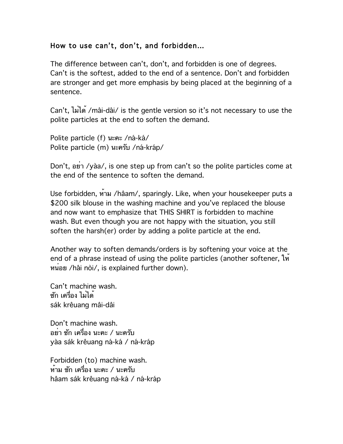# How to use can't, don't, and forbidden…

The difference between can't, don't, and forbidden is one of degrees. Can't is the softest, added to the end of a sentence. Don't and forbidden are stronger and get more emphasis by being placed at the beginning of a sentence.

Can't, ไม่ได้ /mâi-dâi/ is the gentle version so it's not necessary to use the polite particles at the end to soften the demand.

Polite particle (f) นะคะ /ná-ká/ Polite particle (m) นะครับ /ná-kráp/

Don't, อย่า /yàa/, is one step up from can't so the polite particles come at the end of the sentence to soften the demand.

Use forbidden, ห้าม /hâam/, sparingly. Like, when your housekeeper puts a \$200 silk blouse in the washing machine and you've replaced the blouse and now want to emphasize that THIS SHIRT is forbidden to machine wash. But even though you are not happy with the situation, you still soften the harsh(er) order by adding a polite particle at the end.

Another way to soften demands/orders is by softening your voice at the end of a phrase instead of using the polite particles (another softener, ให หน่อย /hâi nòi/, is explained further down).

Can't machine wash. ซัก เครื่อง ไม่ได้ sák krêuang mâi-dâi

Don't machine wash. อย่า ซัก เครื่อง นะคะ / นะครับ yàa sák krêuang ná-ká / ná-kráp

Forbidden (to) machine wash. ห้าม ซัก เครื่อง นะคะ / นะครับ hâam sák krêuang ná-ká / ná-kráp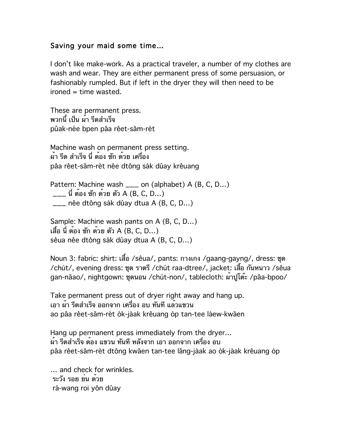## Saving your maid some time…

I don't like make-work. As a practical traveler, a number of my clothes are wash and wear. They are either permanent press of some persuasion, or fashionably rumpled. But if left in the dryer they will then need to be ironed = time wasted.

These are permanent press. พวกนี้เป็น ผ้า รีดสำเร็จ pûak-née bpen pâa rêet-săm-rèt

Machine wash on permanent press setting. ผ้า รีด สำเร็จ นี่ ต้อง ซัก ด้วย เครื่อง pâa rêet-săm-rèt nêe dtông sák dûay krêuang

Pattern: Machine wash \_\_\_ on (alphabet) A (B, C, D...) \_\_\_ นี่ ต้อง ซัก ด้วย ตัว A (B, C, D…) \_\_\_ nêe dtông sák dûay dtua A (B, C, D...)

Sample: Machine wash pants on A (B, C, D…) เสื้อ นี่ ต้อง ซัก ด้วย ตัว A (B, C, D…) sêua nêe dtông sák dûay dtua A (B, C, D...)

Noun 3: fabric: shirt: เสื้อ /sêua/, pants: กางเกง /gaang-gayng/, dress: ชุด /chút/, evening dress: ชุด ราตรี /chút raa-dtree/, jacket: เสื้อ กันหนาว /sêua gan-năao/, nightgown: ชุดนอน /chút-non/, tablecloth: ผ้าปูโต๊ะ /pâa-bpoo/

Take permanent press out of dryer right away and hang up. เอา ผ้า รีดสำเร็จ ออกจาก เครื่อง อบ ทันทีแล้วแขวน ao pâa rêet-săm-rèt òk-jàak krêuang òp tan-tee láew-kwăen

Hang up permanent press immediately from the dryer… ผ้า รีดสำเร็จ ต้อง แขวน ทันที หลังจาก เอา ออกจาก เครื่อง อบ pâa rêet-săm-rèt dtông kwăen tan-tee lăng-jàak ao òk-jàak krêuang òp

… and check for wrinkles. ระวัง รอย ย่น ด้วย rá-wang roi yôn dûay